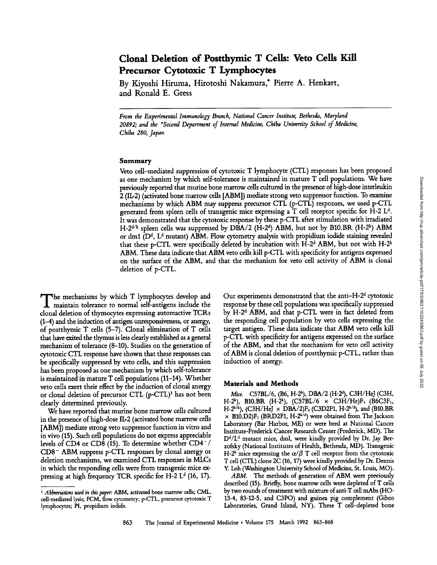# **Clonal Deletion of Postthymic T Cells: Veto Cells Kill Precursor Cytotoxic T Lymphocytes**

**By Kiyoshi Hiruma, Hirotoshi Nakamura,\* Pierre A. Henkart, and Konald E. Gress** 

*From the Experimental Immunology Branch, National Cancer Institute, Bethesda, Maryland 20892; and the \*Second Department of Internal Medicine, Chiba University School of Medicine, Chiba 280, Japan* 

## Summary

Veto cell-mediated suppression of cytotoxic T lymphocyte (CTL) responses has been proposed as one mechanism by which self-tolerance is maintained in mature T cell populations. We have previously reported that murine bone marrow ceils cultured in the presence of high-dose interleukin 2 (IL-2) (activated bone marrow cells [ABM]) mediate strong veto suppressor function. To examine mechanisms by which ABM may suppress precursor CTL (p-CTL) responses, we used p-CTL generated from spleen cells of transgenic mice expressing a  $T$  cell receptor specific for H-2 L<sup>d</sup>. It was demonstrated that the cytotoxic response by these p-CTL after stimulation with irradiated  $H-2^{d/k}$  spleen cells was suppressed by DBA/2 (H-2<sup>d</sup>) ABM, but not by B10.BR (H-2<sup>k</sup>) ABM or dm1 (D<sup>d</sup>, L<sup>d</sup> mutant) ABM. Flow cytometry analysis with propidium iodide staining revealed that these p-CTL were specifically deleted by incubation with H-2<sup>d</sup> ABM, but not with H-2<sup>k</sup> ABM. These data indicate that ABM veto cells kill p-CTL with specificity for antigens expressed on the surface of the ABM, and that the mechanism for veto cell activity of ABM is clonal deletion of p-CTL.

The mechanisms by which T lymphocytes develop and<br>maintain tolerance to normal self-antigens include the<br>main tolerance to normal self-antigens include the clonal deletion of thymocytes expressing autoreactive TCRs (1-4) and the induction of antigen unresponsiveness, or anergy, of postthymic T cells (5-7). Clonal elimination of T cells that have exited the thymus is less dearly established as a general mechanism of tolerance (8-10). Studies on the generation of cytotoxic CTL response have shown that these responses can be specifically suppressed by veto cells, and this suppression has been proposed as one mechanism by which self-tolerance is maintained in mature T cell populations (11-14). Whether veto cells exert their effect by the induction of clonal anergy or clonal deletion of precursor CTL (p-CTL)<sup>1</sup> has not been clearly determined previously.

We have reported that murine bone marrow cells cultured in the presence of high-dose IL-2 (activated bone marrow cells [ABM]) mediate strong veto suppressor function in vitro and in vivo (15). Such cell populations do not express appreciable levels of CD4 or CD8 (15). To determine whether  $CD4^{-}/$ CD8- ABM suppress p-CTL responses by clonal anergy or deletion mechanisms, we examined CTL responses in MLCs in which the responding cells were from transgenic mice expressing at high frequency TCR specific for H-2  $L<sup>d</sup>$  (16, 17).

Our experiments demonstrated that the anti-H- $2<sup>d</sup>$  cytotoxic response by these cell populations was specifically suppressed by  $H-2<sup>d</sup>$  ABM, and that p-CTL were in fact deleted from the responding cell population by veto cells expressing the target antigen. These data indicate that ABM veto cells kill p-CTL with specificity for antigens expressed on the surface of the ABM, and that the mechanism for veto cell activity of ABM is clonal deletion of postthymic p-CTL, rather than induction of anergy.

#### Materials and **Methods**

*Mice.* C57BL/6, (B6, H-2<sup>b</sup>), DBA/2 (H-2<sup>d</sup>), C3H/HeJ (C3H, H-2<sup>k</sup>), B10.BR (H-2<sup>k</sup>), (C57BL/6  $\times$  C3H/He)F<sub>1</sub> (B6C3F<sub>1</sub>, H-2<sup>b/k</sup>), (C3H/HeJ  $\times$  DBA/2)F<sub>1</sub> (C3D2F1, H-2<sup>k/d</sup>), and (B10.BR  $\times$  B10.D2)F<sub>1</sub> (BRD2F1, H-2<sup>k/d</sup>) were obtained from The Jackson Laboratory (Bar Harbor, ME) or were bred at National Cancer Institute-Frederick Cancer Research Center (Frederick, MD). The  $D^d/L^d$  mutant mice, dml, were kindly provided by Dr. Jay Berzofsky (National Institutes of Health, Bethesda, MD). Transgenic H-2<sup>b</sup> mice expressing the  $\alpha/\beta$  T cell receptor from the cytotoxic T cell (CTL) clone 2C (16, 17) were kindly provided by Dr. Dennis Y. Loh (Washington University School of Medicine, St. Louis, MO).

*ABM.* The methods of generation of ABM were previously described (15). Briefly, bone marrow cells were depleted of T ceils by two rounds of treatment with mixture of anti-T cell mAbs (HO-13-4, 83-12-5, and C3PO) and guinea pig complement (Gibco Laboratories, Grand Island, NY). These T cell-depleted bone

*<sup>1</sup> Abbreviations used in this paper:* ABM, activated bone marrow cells; CML, cell-mediated lysis; FCM, flow cytometry; p-CTL, precursor cytotoxic T lymphocytes; PI, propidium iodide.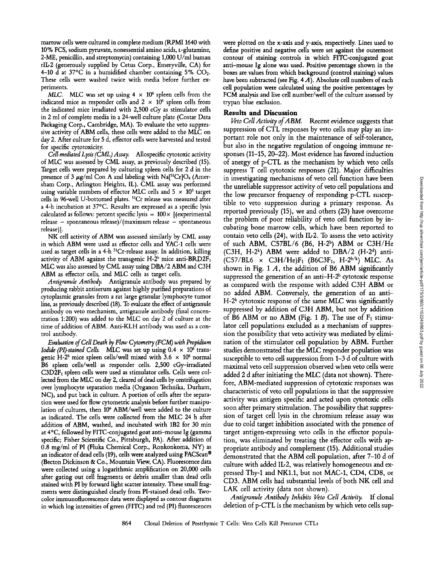marrow cells were cultured in complete medium (RPMI 1640 with 10% FCS, sodium pyruvate, nonessential amino acids, r-glutamine, 2-ME, penicillin, and streptomycin) containing 1,000 U/ml human rlL-2 (generously supplied by Cetus Corp., Emeryville, CA) for 4-10  $\overline{d}$  at 37°C in a humidified chamber containing 5%  $CO<sub>2</sub>$ . These cells were washed twice with media before further experiments.

MLC. MLC was set up using  $4 \times 10^6$  spleen cells from the indicated mice as responder cells and  $2 \times 10^6$  spleen cells from the indicated mice irradiated with 2,500 cGy as stimulator cells in 2 ml of complete media in a 24-well culture plate (Costar Data Packaging Corp., Cambridge, MA). To evaluate the veto suppressive activity of ABM cells, these cells were added to the MLC on day 2. After culture for 5 d, effector cells were harvested and tested for specific cytotoxicity.

*Cell.mediated Lysis (CML) Assay.* Allospecific cytotoxic activity of MLC was assessed by CML assay, as previously described (15). Target cells were prepared by culturing spleen cells for 2 d in the presence of 3  $\mu$ g/ml Con A and labeling with Na<sup>[51</sup>Cr]O<sub>4</sub> (Amersham Corp., Arlington Heights, IL). CML assay was performed using variable numbers of effector MLC cells and  $5 \times 10^3$  target cells in 96-well U-bottomed plates. <sup>51</sup>Cr release was measured after a 4-h incubation at 37°C. Results are expressed as a specific lysis calculated as follows: percent specific lysis =  $100 \times$  [(experimental release  $-$  spontaneous release)/(maximum release  $-$  spontaneous release)].

NK cell activity of ABM was assessed similarly by CML assay in which ABM were used as effector cells and YAC-1 cells were used as target cells in a 4-h <sup>51</sup>Cr-release assay. In addition, killing activity of ABM against the transgenic H- $2^b$  mice anti-BRD2 $F_1$ MLC was also assessed by CML assay using DBA/2 ABM and C3H ABM as effector cells, and MLC cells as target cells.

*Antigranule Antibody.* Antigranule antibody was prepared by producing rabbit antiserum against highly purified preparations of cytoplasmic granules from a rat large granular lymphocyte tumor line, as previously described (18). To evaluate the effect of antigranule antibody on veto mechanism, antigranule antibody (final concentration 1:200) was added to the MLC on day 2 of culture at the time of addition of ABM. Anti-KLH antibody was used as a control antibody.

*Evaluation of Cell Death by Flow Cytometry (FCM) with Propidium Iodide (PI)-stained Cells.* MLC was set up using  $0.4 \times 10^6$  transgenic H-2<sup>b</sup> mice spleen cells/well mixed with  $3.6 \times 10^6$  normal B6 spleen cells/well as responder cells. 2,500 cGy-irradiated  $C3D2F<sub>1</sub>$  spleen cells were used as stimulator cells. Cells were collected from the MLC on day 2, cleared of dead cells by centrifugation over lymphocyte separation media (Organon Technika, Durham, NC), and put back in culture. A portion of cells after the separation were used for flow cytometric analysis before further manipulation of cultures, then 106 ABM/well were added to the culture as indicated. The cells were collected from the MLC 24 h after addition of ABM, washed, and incubated with 1B2 for 30 min at 4°C, followed by FITC-conjugated goat anti-mouse Ig (gamma specific; Fisher Scientific Co., Pittsburgh, PA). After addition of 0.8 mg/ml of PI (Fluka Chemical Corp., Ronkonkoma, NY) as an indicator of dead cells (19), cells were analyzed using FACScan® (Becton Dickinson & Co., Mountain View, CA). Fluorescence data were collected using a logarithmic amplification on 20,000 cells after gating out cell fragments or debris smaller than dead cells stained with PI by forward light scatter intensity. These small fragments were distinguished clearly from PI-stained dead cells. Twocolor immunofluorescence data were displayed as contour diagrams in which log intensities of green (FITC) and red (PI) fluorescences

were plotted on the x-axis and y-axis, respectively. Lines used to define positive and negative cells were set against the outermost contour of staining controls in which FITC-conjugated goat anti-mouse Ig alone was used. Positive percentage shown in the boxes are values from which background (control staining) values have been subtracted (see Fig.  $4 \text{ } A$ ). Absolute cell numbers of each cell population were calculated using the positive percentages by FCM analysis and live cell number/well of the culture assessed by trypan blue exclusion.

## **Results and Discussion**

Veto Cell Activity of ABM. Recent evidence suggests that suppression of CTL responses by veto cells may play an important role not only in the maintenance of self-tolerance, but also in the negative regulation of ongoing immune responses (11-15, 20-22). Most evidence has favored induction of anergy of p-CTL as the mechanism by which veto cells suppress T cell cytotoxic responses (21). Major difficulties in investigating mechanisms of veto cell function have been the unreliable suppressor activity of veto cell populations and the low precursor frequency of responding p-CTL susceptible to veto suppression during a primary response. As reported previously (15), we and others (23) have overcome the problem of poor reliability of veto cell function by incubating bone marrow cells, which have been reported to contain veto cells  $(24)$ , with IL-2. To assess the veto activity of such ABM, C57BL/6 (B6, H-2<sup>b</sup>) ABM or C3H/He (C3H, H-2 $k$ ) ABM were added to DBA/2 (H-2 $d$ ) anti- $(C57/BL6 \times C3H/He)F_1$  (B6C3F<sub>1</sub>, H-2<sup>b/k</sup>) MLC. As shown in Fig. 1  $\dot{A}$ , the addition of B6 ABM significantly suppressed the generation of an anti-H- $2<sup>b</sup>$  cytotoxic response as compared with the response with added C3H ABM or no added ABM. Conversely, the generation of an anti- $H-2<sup>k</sup>$  cytotoxic response of the same MLC was significantly suppressed by addition of C3H ABM, but not by addition of B6 ABM or no ABM (Fig. 1 B). The use of  $F_1$  stimulator cell populations excluded as a mechanism of suppression the possibility that veto activity was mediated by elimination of the stimulator cell population by ABM. Further studies demonstrated that the MLC responder population was susceptible to veto cell suppression from 1-3 d of culture with maximal veto cell suppression observed when veto cells were added 2 d after initiating the MLC (data not shown). Therefore, ABM-mediated suppression of cytotoxic responses was characteristic of veto cell populations in that the suppressive activity was antigen specific and acted upon cytotoxic cells soon after primary stimulation. The possibility that suppression of target cell lysis in the chromium release assay was due to cold target inhibition associated with the presence of target antigen-expressing veto cells in the effector population, was eliminated by treating the effector cells with appropriate antibody and complement (15). Additional studies demonstrated that the ABM cell population, after *7-10* d of culture with added Ib2, was relatively homogeneous and expressed Thy-1 and NKI.1, but not MAC-l, CD4, CD8, or CD3. ABM cells had substantial levels of both NK cell and LAK cell activity (data not shown).

*Antigranule Antibody Inhibits Veto Cell Activity.* If clonal deletion of p-CTL is the mechanism by which veto cells sup-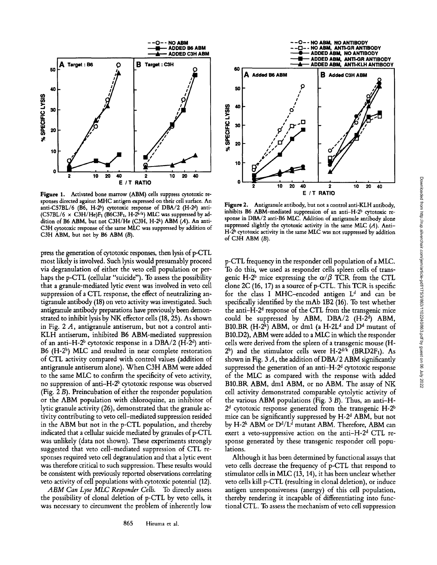

**Figure** 1. Activated bone marrow (ABM) cells suppress cytotoxic responses directed against MHC antigen expressed on their cell surface. An anti-C57BL/6 (B6, H-2b) cytotoxic response of DBA/2 (H-2d) anti-(C57BL/6  $\times$  C3H/He)F<sub>1</sub> (B6C3F<sub>1</sub>, H-2<sup>b/k</sup>) MLC was suppressed by addition of B6 ABM, but not C3H/He (C3H, H-2 $k$ ) ABM  $(A)$ . An anti-C3H cytotoxic response of the same MLC was suppressed by addition of C3H ABM, but not by B6 ABM (B).

press the generation of cytotoxic responses, then lysis of p-CTL most likely is involved. Such lysis would presumably proceed via degranulation of either the veto cell population or perhaps the p-CTL (cellular "suicide"). To assess the possibility that a granule-mediated lytic event was involved in veto cell suppression of a CTL response, the effect of neutralizing antigranule antibody (18) on veto activity was investigated. Such antigranule antibody preparations have previously been demonstrated to inhibit lysis by NK effector cells (18, 25). As shown in Fig. 2 A, antigranule antiserum, but not a control anti-KLH antiserum, inhibited B6 ABM-mediated suppression of an anti-H-2<sup>b</sup> cytotoxic response in a DBA/2 (H-2<sup>d</sup>) anti-B6  $(H-2^b)$  MLC and resulted in near complete restoration of CTL activity compared with control values (addition of antigranule antiserum alone). When C3H ABM were added to the same MLC to confirm the specificity of veto activity, no suppression of anti- $H-2<sup>b</sup>$  cytotoxic response was observed (Fig. 2 B). Preincubation of either the responder population or the ABM population with chloroquine, an inhibitor of lytic granule activity (26), demonstrated that the granule activity contributing to veto cell-mediated suppression resided in the ABM but not in the p-CTL population, and thereby indicated that a cellular suicide mediated by granules of p-CTL was unlikely (data not shown). These experiments strongly suggested that veto cell-mediated suppression of CTL responses required veto cell degranulation and that a lytic event was therefore critical to such suppression. These results would be consistent with previously reported observations correlating veto activity of cell populations with cytotoxic potential (12).

*ABM Can Lyse MLC Responder Cells.* To directly assess the possibility of clonal deletion of p-CTL by veto cells, it was necessary to circumvent the problem of inherently low



Figure 2. Antigranule antibody, but not a control anti-KLH antibody, inhibits B6 ABM-mediated suppression of an anti-H-2<sup>b</sup> cytotoxic response in DBA/2 anti-B6 MLC. Addition of antigranule antibody alone suppressed slightly the cytotoxic activity in the same MLC  $(A)$ . Anti-H-2<sup>b</sup> cytotoxic activity in the same MLC was not suppressed by addition of C3H ABM (B).

p-CTL frequency in the responder cell population of a MLC. To do this, we used as responder cells spleen cells of transgenic H-2<sup>b</sup> mice expressing the  $\alpha/\beta$  TCR from the CTL clone  $2C(16, 17)$  as a source of p-CTL. This TCR is specific for the class I MHC-encoded antigen  $L<sup>d</sup>$  and can be specifically identified by the mAb 1B2 (16). To test whether the anti- $H-2<sup>d</sup>$  response of the CTL from the transgenic mice could be suppressed by ABM, DBA/2  $(H-2<sup>d</sup>)$  ABM, B10.BR (H-2<sup>k</sup>) ABM, or dm1 (a H-2L<sup>d</sup> and  $D<sup>d</sup>$  mutant of B10.D2), ABM were added to a MLC in which the responder cells were derived from the spleen of a transgenic mouse (H- $2^b$ ) and the stimulator cells were H- $2^{d/k}$  (BRD2F<sub>1</sub>). As shown in Fig. 3 A, the addition of DBA/2 ABM significantly suppressed the generation of an anti- $H-2<sup>d</sup>$  cytotoxic response of the MLC as compared with the response with added B10.BR ABM, dml ABM, or no ABM. The assay of NK cell activity demonstrated comparable cytolytic activity of the various ABM populations (Fig. 3 B). Thus, an anti-H- $2<sup>d</sup>$  cytotoxic response generated from the transgenic H- $2<sup>b</sup>$ mice can be significantly suppressed by  $H-2<sup>d</sup>$  ABM, but not by H-2<sup>k</sup> ABM or  $D^{d}/L^{d}$  mutant ABM. Therefore, ABM can exert a veto-suppressive action on the anti-H- $2<sup>d</sup>$  CTL response generated by these transgenic responder cell populations.

Although it has been determined by functional assays that veto cells decrease the frequency of p-CTL that respond to stimulator cells in MLC (13, 14), it has been unclear whether veto cells kill p-CTL (resulting in clonal deletion), or induce antigen unresponsiveness (anergy) of this cell population, thereby rendering it incapable of differentiating into functional CTL. To assess the mechanism of veto cell suppression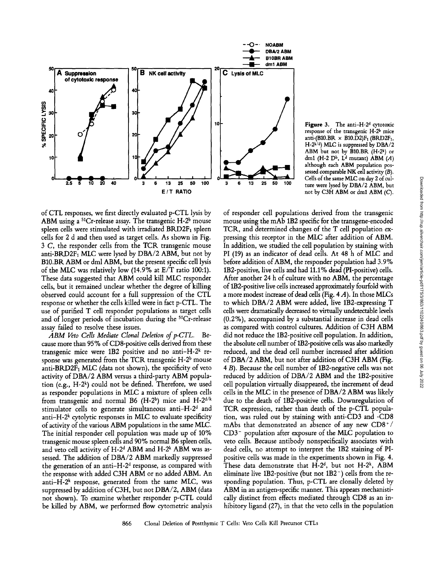

Figure 3. The anti-H-2<sup>d</sup> cytotoxic response of the transgenic H-2<sup>b</sup> mice anti-(B10.BR  $\times$  B10.D2)F<sub>1</sub> (BRD2F<sub>1</sub>,  $H-2^{k/d}$ ) MLC is suppressed by DBA/2 ABM but not by  $\widehat{B}10.BR$   $(H-2^k)$  or dm1 (H-2 D<sup>b</sup>, L<sup>d</sup> mutant) ABM  $(A)$ although each ABM population possessed comparable NK cell activity  $(B)$ . Cells of the same MLC on day 2 of culture were lysed by DBA/2 ABM, but not by C3H ABM or dml ABM (C).

of CTL responses, we first directly evaluated p-CTL lysis by ABM using a  ${}^{51}Cr$ -release assay. The transgenic H-2<sup>b</sup> mouse spleen cells were stimulated with irradiated  $BRD2F<sub>1</sub>$  spleen cells for 2 d and then used as target cells. As shown in Fig. 3 C, the responder cells from the TCR transgenic mouse anti-BRD2F<sub>1</sub> MLC were lysed by DBA/2 ABM, but not by B10.BR ABM or dml ABM, but the present specific cell lysis of the MLC was relatively low (14.9% at E/T ratio 100:1). These data suggested that ABM could kill MLC responder cells, but it remained unclear whether the degree of killing observed could account for a full suppression of the CTL response or whether the cells killed were in fact p-CTL. The use of purified T cell responder populations as target cells and of longer periods of incubation during the 51Cr-release assay failed to resolve these issues.

*ABM Veto Cells Mediate Clonal Deletion of p-CTL.* Because more than 95% of CD8-positive cells derived from these transgenic mice were  $1B2$  positive and no anti-H- $2^k$  response was generated from the TCR transgenic  $H-2^b$  mouse anti-BRD2F<sub>1</sub> MLC (data not shown), the specificity of veto activity of DBA/2 ABM versus a third-party ABM population (e.g., H-2<sup>k</sup>) could not be defined. Therefore, we used as responder populations in MLC a mixture of spleen cells from transgenic and normal B6 (H-2b) mice and H-2 $d/k$ stimulator cells to generate simultaneous anti- $H-2<sup>d</sup>$  and anti-H- $2<sup>k</sup>$  cytolytic responses in MLC to evaluate specificity of activity of the various ABM populations in the same MLC. The initial responder cell population was made up of 10% transgenic mouse spleen cells and 90% normal B6 spleen cells, and veto cell activity of  $H-2<sup>d</sup>$  ABM and  $H-2<sup>k</sup>$  ABM was assessed. The addition of DBA/2 ABM markedly suppressed the generation of an anti-H- $2<sup>d</sup>$  response, as compared with the response with added C3H ABM or no added ABM. An anti- $H-2^k$  response, generated from the same MLC, was suppressed by addition of C3H, but not *DBA/2,* ABM (data not shown). To examine whether responder p-CTL could be killed by ABM, we performed flow cytometric analysis of responder cell populations derived from the transgenic mouse using the mAb 1B2 specific for the transgene-encoded TCR, and determined changes of the T cell population expressing this receptor in the MLC after addition of ABM. In addition, we studied the cell population by staining with PI (19) as an indicator of dead cells. At 48 h of MLC and before addition of ABM, the responder population had 3.9% 1B2-positive, live cells and had 11.1% dead (PI-positive) cells. After another 24 h of culture with no ABM, the percentage of 1B2-positive live cells increased approximately fourfold with a more modest increase of dead cells (Fig. 4 A). In those MLCs to which DBA/2 ABM were added, live 1B2-expressing T cells were dramatically decreased to virtually undetectable levels (0.2%), accompanied by a substantial increase in dead cells as compared with control cultures. Addition of C3H ABM did not reduce the 1B2-positive cell population. In addition, the absolute cell number of 1B2-positive cells was also markedly reduced, and the dead cell number increased after addition of DBA/2 ABM, but not after addition of C3H ABM (Fig. 4 B). Because the cell number of 1B2-negative cells was not reduced by addition of DBA/2 ABM and the 1B2-positive cell population virtually disappeared, the increment of dead cells in the MLC in the presence of DBA/2 ABM was likely due to the death of 1B2-positive cells. Downregulation of TCR expression, rather than death of the p-CTL population, was ruled out by staining with anti-CD3 and -CD8 mAbs that demonstrated an absence of any new CD8+/ CD3- population after exposure of the MLC population to veto cells. Because antibody nonspecifically associates with dead cells, no attempt to interpret the 1B2 staining of PIpositive cells was made in the experiments shown in Fig. 4. These data demonstrate that  $H-2<sup>d</sup>$ , but not  $H-2<sup>k</sup>$ , ABM eliminate live 1B2-positive (but not 1B2-) cells from the responding population. Thus, p-CTL are clonally deleted by ABM in an antigen-specific manner. This appears mechanistically distinct from effects mediated through CD8 as an inhibitory ligand (27), in that the veto cells in the population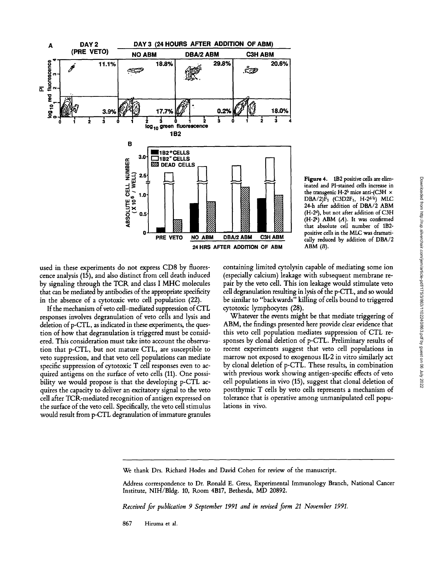

inated and Pl-stained cells increase in the transgenic H-2<sup>b</sup> mice anti-(C3H  $\times$  $DBA/2$  $F_1$  (C3D2 $F_1$ , H-2<sup>d/k</sup>) MLC 24-h after addition of DBA/2 ABM (H-2d), but not after addition of C3H  $(H-2^k)$  ABM  $(A)$ . It was confirmed that absolute cell number of 1B2 positive cells in the MLC was dramatically reduced by addition of DBA/2  $ABM(B)$ .

Figure 4. 1B2 positive cells are elim-

used in these experiments do not express CD8 by fluorescence analysis (15), and also distinct from cell death induced by signaling through the TCR and class I MHC molecules that can be mediated by antibodies of the appropriate specificity in the absence of a cytotoxic veto cell population (22).

If the mechanism of veto cell-mediated suppression of CTL responses involves degranulation of veto cells and lysis and deletion of p-CTL, as indicated in these experiments, the question of how that degranulation is triggered must be considered. This consideration must take into account the observation that p-CTL, but not mature CTL, are susceptible to veto suppression, and that veto cell populations can mediate specific suppression of cytotoxic T cell responses even to acquired antigens on the surface of veto cells (11). One possibility we would propose is that the developing p-CTL acquires the capacity to deliver an excitatory signal to the veto cell after TCR-mediated recognition of antigen expressed on the surface of the veto cell. Specifically, the veto cell stimulus would result from p-CTL degranulation of immature granules

containing limited cytolysin capable of mediating some ion (especially calcium) leakage with subsequent membrane repair by the veto cell. This ion leakage would stimulate veto cell degranulation resulting in lysis of the p-CTL, and so would be similar to "backwards" killing of cells bound to triggered cytotoxic lymphocytes (28).

Whatever the events might be that mediate triggering of ABM, the findings presented here provide clear evidence that this veto cell population mediates suppression of CTL responses by clonal deletion of p-CTL. Preliminary results of recent experiments suggest that veto cell populations in marrow not exposed to exogenous IL-2 in vitro similarly act by clonal deletion of p-CTL. These results, in combination with previous work showing antigen-specific effects of veto cell populations in vivo (15), suggest that clonal deletion of postthymic T cells by veto cells represents a mechanism of tolerance that is operative among unmanipulated cell populations in vivo.

*Received for publication 9 September 1991 and in revised form 21 November 1991.* 

867 Hiruma et al.

We thank Drs. Richard Hodes and David Cohen for review of the manuscript.

Address correspondence to Dr. Ronald E. Gress, Experimental Immunology Branch, National Cancer Institute, NIH/Bldg. 10, Room 4B17, Bethesda, MD 20892.